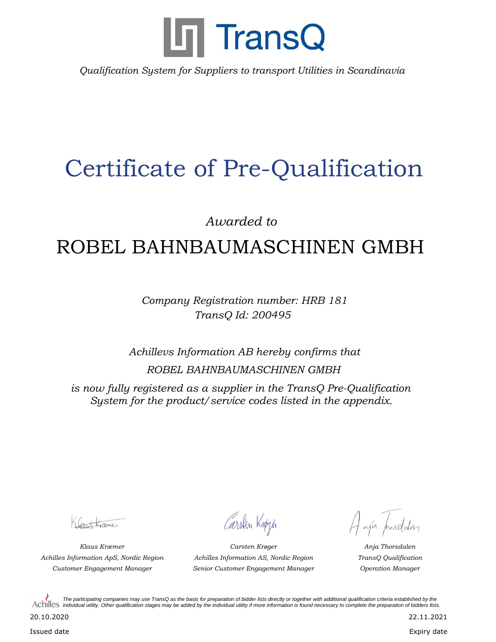

*Qualification System for Suppliers to transport Utilities in Scandinavia*

## Certificate of Pre-Qualification

*Awarded to*

## ROBEL BAHNBAUMASCHINEN GMBH

*Company Registration number: HRB 181 TransQ Id: 200495*

*Achillevs Information AB hereby confirms that ROBEL BAHNBAUMASCHINEN GMBH*

*is now fully registered as a supplier in the TransQ Pre-Qualification System for the product/service codes listed in the appendix.*

Cartagne

*Achilles Information ApS, Nordic Region TransQ Qualification*

Carsten Knøgen

*Klaus Kræmer Anja Thorsdalen Customer Engagement Manager Operation Manager Senior Customer Engagement Manager Carsten Krøger Achilles Information AS, Nordic Region*

Haja prosedden

*The participating companies may use TransQ as the basis for preparation of bidder lists directly or together with additional qualification criteria established by the*  Achilles *individual utility. Other qualification stages may be added by the individual utility if more information is found necessary to complete the preparation of bidders lists.* 

20.10.2020

Issued date